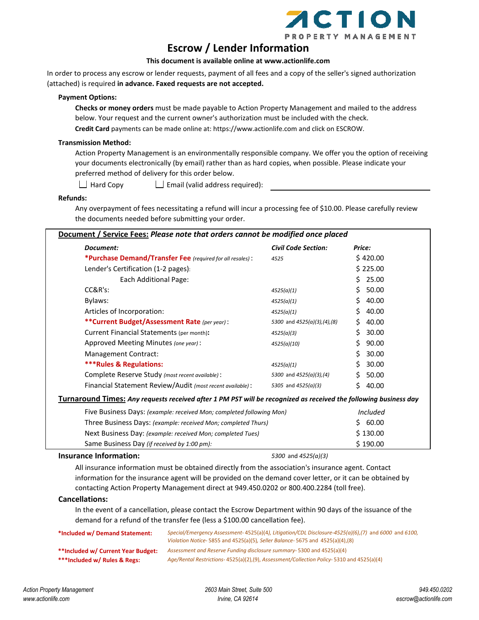

## **Escrow / Lender Information**

### **This document is available online at www.actionlife.com**

In order to process any escrow or lender requests, payment of all fees and a copy of the seller's signed authorization (attached) is required **in advance. Faxed requests are not accepted.**

#### **Payment Options:**

**Checks or money orders** must be made payable to Action Property Management and mailed to the address below. Your request and the current owner's authorization must be included with the check.

**Credit Card** payments can be made online at: https://www.actionlife.com and click on ESCROW.

### **Transmission Method:**

Action Property Management is an environmentally responsible company. We offer you the option of receiving your documents electronically (by email) rather than as hard copies, when possible. Please indicate your preferred method of delivery for this order below.

- 
- $\Box$  Hard Copy  $\Box$  Email (valid address required):

#### **Refunds:**

Any overpayment of fees necessitating a refund will incur a processing fee of \$10.00. Please carefully review the documents needed before submitting your order.

| Document:                                                                                                        | <b>Civil Code Section:</b>  | Price:       |  |
|------------------------------------------------------------------------------------------------------------------|-----------------------------|--------------|--|
| *Purchase Demand/Transfer Fee (required for all resales):                                                        | 4525                        | \$420.00     |  |
| Lender's Certification (1-2 pages):                                                                              |                             | \$225.00     |  |
| Each Additional Page:                                                                                            |                             | 25.00<br>Ś.  |  |
| CC&R's:                                                                                                          | 4525(a)(1)                  | 50.00<br>Ś.  |  |
| Bylaws:                                                                                                          | 4525(a)(1)                  | 40.00<br>Ś.  |  |
| Articles of Incorporation:                                                                                       | 4525(a)(1)                  | 40.00<br>\$  |  |
| ** Current Budget/Assessment Rate (per year):                                                                    | 5300 and 4525(a)(3),(4),(8) | 40.00<br>S.  |  |
| Current Financial Statements (per month):                                                                        | 4525(a)(3)                  | 30.00<br>\$. |  |
| Approved Meeting Minutes (one year):                                                                             | 4525(a)(10)                 | 90.00<br>S.  |  |
| Management Contract:                                                                                             |                             | 30.00<br>\$  |  |
| <b>***Rules &amp; Regulations:</b>                                                                               | 4525(a)(1)                  | 30.00<br>\$. |  |
| Complete Reserve Study (most recent available):                                                                  | 5300 and 4525(a)(3),(4)     | 50.00<br>S.  |  |
| Financial Statement Review/Audit (most recent available):                                                        | 5305 and 4525(a)(3)         | 40.00<br>Ś.  |  |
| Turnaround Times: Any requests received after 1 PM PST will be recognized as received the following business day |                             |              |  |
| Five Business Days: (example: received Mon; completed following Mon)                                             |                             | Included     |  |
| Three Business Days: (example: received Mon; completed Thurs)                                                    |                             | 60.00<br>S.  |  |
| Next Business Day: (example: received Mon; completed Tues)                                                       |                             | \$130.00     |  |
| Same Business Day (if received by 1:00 pm):                                                                      |                             | \$190.00     |  |
| <b>Insurance Information:</b>                                                                                    | 5300 and $4525(a)(3)$       |              |  |

All insurance information must be obtained directly from the association's insurance agent. Contact information for the insurance agent will be provided on the demand cover letter, or it can be obtained by contacting Action Property Management direct at 949.450.0202 or 800.400.2284 (toll free).

### **Cancellations:**

In the event of a cancellation, please contact the Escrow Department within 90 days of the issuance of the demand for a refund of the transfer fee (less a \$100.00 cancellation fee).

| *Included w/ Demand Statement:     | Special/Emergency Assessment-4525(a)(4), Litigation/CDL Disclosure-4525(a)(6),(7) and 6000 and 6100,<br>Violation Notice-5855 and 4525(a)(5), Seller Balance-5675 and 4525(a)(4),(8) |
|------------------------------------|--------------------------------------------------------------------------------------------------------------------------------------------------------------------------------------|
| **Included w/ Current Year Budget: | Assessment and Reserve Funding disclosure summary-5300 and 4525(a)(4)                                                                                                                |
| ***Included w/ Rules & Regs:       | Age/Rental Restrictions-4525(a)(2),(9), Assessment/Collection Policy-5310 and 4525(a)(4)                                                                                             |